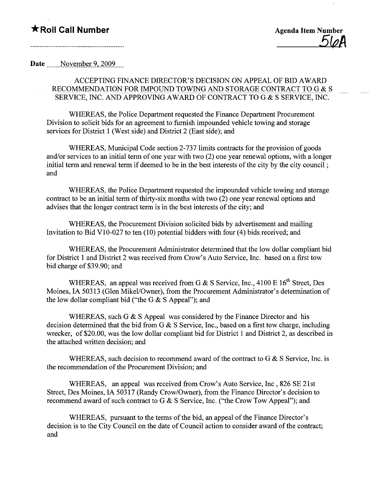Date November 9, 2009

## ACCEPTING FINANCE DIRECTOR'S DECISION ON APPEAL OF BID AWARD RECOMMENDATION FOR IMPOUND TOWING AND STORAGE CONTRACT TO G & S SERVICE, INC. AND APPROVING AWARD OF CONTRACT TO G & S SERVICE, INC.

WHEREAS, the Police Department requested the Finance Department Procurement Division to solicit bids for an agreement to furnish impounded vehicle towing and storage services for District 1 (West side) and District 2 (East side); and

WHEREAS, Municipal Code section 2-737 limits contracts for the provision of goods and/or services to an initial term of one year with two (2) one year renewal options, with a longer initial term and renewal term if deemed to be in the best interests of the city by the city council; and

WHEREAS, the Police Department requested the impounded vehicle towing and storage contract to be an initial term of thirty-six months with two (2) one year renewal options and advises that the longer contract term is in the best interests of the city; and

WHEREAS, the Procurement Division solicited bids by advertisement and mailing Invitation to Bid V 10-027 to ten (10) potential bidders with four (4) bids received; and

WHEREAS, the Procurement Administrator determined that the low dollar compliant bid for District 1 and District 2 was received from Crow's Auto Service, Inc. based on a first tow bid charge of\$39.90; and

WHEREAS, an appeal was received from G  $&$  S Service, Inc., 4100 E 16<sup>th</sup> Street, Des Moines, IA 50313 (Glen Mikel/Owner), from the Procurement Administrator's determination of the low dollar compliant bid ("the G  $&$  S Appeal"); and

WHEREAS, such G & S Appeal was considered by the Finance Director and his decision determined that the bid from G & S Service, Inc., based on a first tow charge, including wrecker, of \$20.00, was the low dollar compliant bid for District 1 and District 2, as described in the attached written decision; and

WHEREAS, such decision to recommend award of the contract to G & S Service, Inc. is the recommendation of the Procurement Division; and

WHEREAS, an appeal was received from Crow's Auto Service, Inc, 826 SE 21st Street, Des Moines, IA 50317 (Randy Crow/Owner), from the Finance Director's decision to recommend award of such contract to G & S Service, Inc. ("the Crow Tow Appeal"); and

WHEREAS, pursuant to the terms of the bid, an appeal of the Finance Director's decision is to the City Council on the date of Council action to consider award of the contract; and